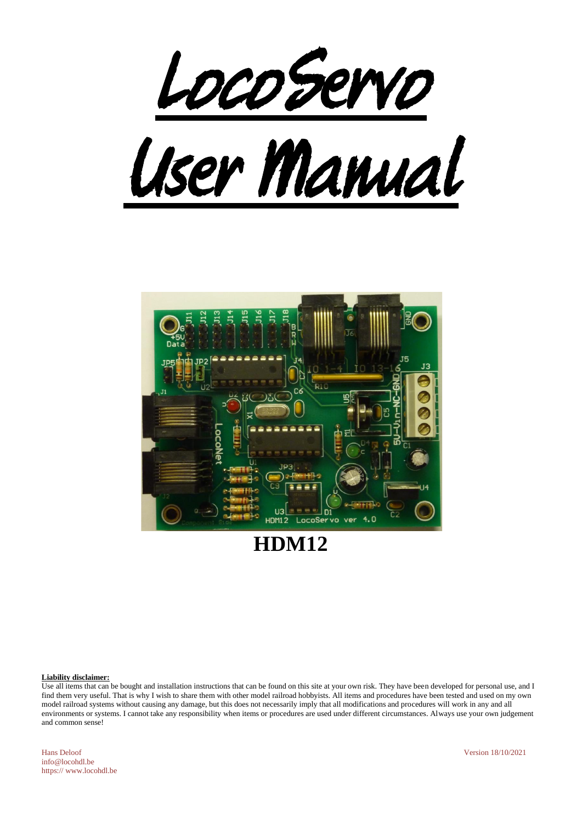



**HDM12**

#### **Liability disclaimer:**

Use all items that can be bought and installation instructions that can be found on this site at your own risk. They have been developed for personal use, and I find them very useful. That is why I wish to share them with other model railroad hobbyists. All items and procedures have been tested and used on my own model railroad systems without causing any damage, but this does not necessarily imply that all modifications and procedures will work in any and all environments or systems. I cannot take any responsibility when items or procedures are used under different circumstances. Always use your own judgement and common sense!

Hans Deloof Version 18/10/2021 info@locohdl.be https:// www.locohdl.be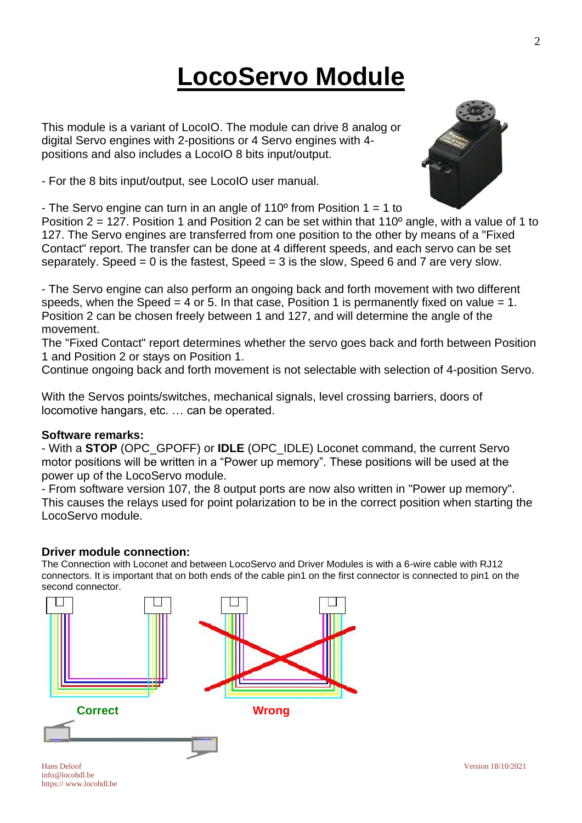# **LocoServo Module**

This module is a variant of LocoIO. The module can drive 8 analog or digital Servo engines with 2-positions or 4 Servo engines with 4 positions and also includes a LocoIO 8 bits input/output.

- For the 8 bits input/output, see LocoIO user manual.

- The Servo engine can turn in an angle of  $110^{\circ}$  from Position 1 = 1 to

Position 2 = 127. Position 1 and Position 2 can be set within that 110º angle, with a value of 1 to 127. The Servo engines are transferred from one position to the other by means of a "Fixed Contact" report. The transfer can be done at 4 different speeds, and each servo can be set separately. Speed = 0 is the fastest, Speed = 3 is the slow, Speed 6 and 7 are very slow.

- The Servo engine can also perform an ongoing back and forth movement with two different speeds, when the Speed  $= 4$  or 5. In that case, Position 1 is permanently fixed on value  $= 1$ . Position 2 can be chosen freely between 1 and 127, and will determine the angle of the movement.

The "Fixed Contact" report determines whether the servo goes back and forth between Position 1 and Position 2 or stays on Position 1.

Continue ongoing back and forth movement is not selectable with selection of 4-position Servo.

With the Servos points/switches, mechanical signals, level crossing barriers, doors of locomotive hangars, etc. … can be operated.

### **Software remarks:**

- With a **STOP** (OPC\_GPOFF) or **IDLE** (OPC\_IDLE) Loconet command, the current Servo motor positions will be written in a "Power up memory". These positions will be used at the power up of the LocoServo module.

- From software version 107, the 8 output ports are now also written in "Power up memory". This causes the relays used for point polarization to be in the correct position when starting the LocoServo module.

### **Driver module connection:**

The Connection with Loconet and between LocoServo and Driver Modules is with a 6-wire cable with RJ12 connectors. It is important that on both ends of the cable pin1 on the first connector is connected to pin1 on the second connector.



info@locohdl.be https:// www.locohdl.be

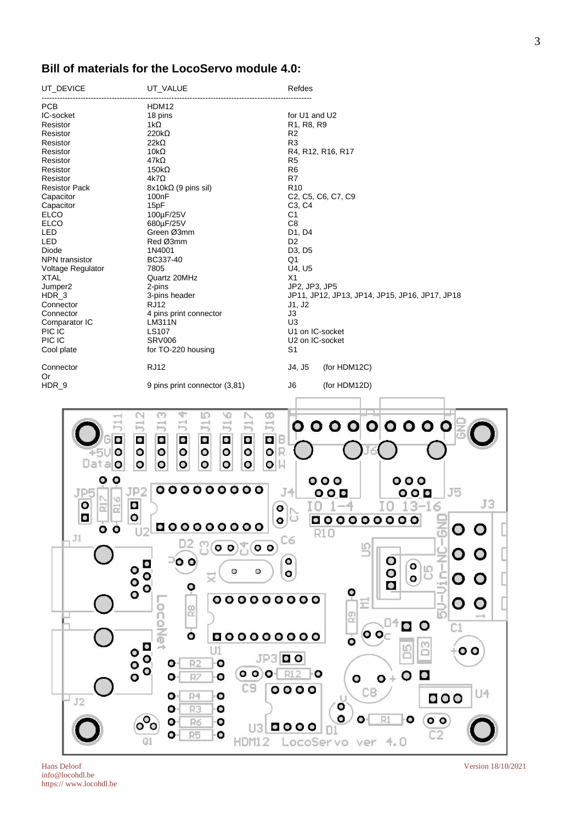### **Bill of materials for the LocoServo module 4.0:**

| UT_DEVICE                                                                                                                                                                                                                                | UT_VALUE                                                                                                                                                                                                                                                                                                                                                                                             | Refdes                                                                                                                                                                                                                                                                                                                                                                                         |
|------------------------------------------------------------------------------------------------------------------------------------------------------------------------------------------------------------------------------------------|------------------------------------------------------------------------------------------------------------------------------------------------------------------------------------------------------------------------------------------------------------------------------------------------------------------------------------------------------------------------------------------------------|------------------------------------------------------------------------------------------------------------------------------------------------------------------------------------------------------------------------------------------------------------------------------------------------------------------------------------------------------------------------------------------------|
| <b>PCB</b>                                                                                                                                                                                                                               | HDM12                                                                                                                                                                                                                                                                                                                                                                                                |                                                                                                                                                                                                                                                                                                                                                                                                |
| IC-socket                                                                                                                                                                                                                                | 18 pins                                                                                                                                                                                                                                                                                                                                                                                              | for U1 and U2                                                                                                                                                                                                                                                                                                                                                                                  |
| Resistor                                                                                                                                                                                                                                 | 1k $\Omega$                                                                                                                                                                                                                                                                                                                                                                                          | R <sub>1</sub> , R <sub>8</sub> , R <sub>9</sub>                                                                                                                                                                                                                                                                                                                                               |
| Resistor                                                                                                                                                                                                                                 | $220k\Omega$                                                                                                                                                                                                                                                                                                                                                                                         | R <sub>2</sub>                                                                                                                                                                                                                                                                                                                                                                                 |
| Resistor                                                                                                                                                                                                                                 | $22k\Omega$                                                                                                                                                                                                                                                                                                                                                                                          | R <sub>3</sub>                                                                                                                                                                                                                                                                                                                                                                                 |
| Resistor                                                                                                                                                                                                                                 | 10 $k\Omega$                                                                                                                                                                                                                                                                                                                                                                                         | R4, R12, R16, R17                                                                                                                                                                                                                                                                                                                                                                              |
| Resistor                                                                                                                                                                                                                                 | 47kΩ                                                                                                                                                                                                                                                                                                                                                                                                 | R5                                                                                                                                                                                                                                                                                                                                                                                             |
| Resistor                                                                                                                                                                                                                                 | $150k\Omega$                                                                                                                                                                                                                                                                                                                                                                                         | R <sub>6</sub>                                                                                                                                                                                                                                                                                                                                                                                 |
| Resistor                                                                                                                                                                                                                                 | $4k7\Omega$                                                                                                                                                                                                                                                                                                                                                                                          | R7                                                                                                                                                                                                                                                                                                                                                                                             |
| <b>Resistor Pack</b>                                                                                                                                                                                                                     |                                                                                                                                                                                                                                                                                                                                                                                                      | R <sub>10</sub>                                                                                                                                                                                                                                                                                                                                                                                |
| Capacitor                                                                                                                                                                                                                                | $8x10k\Omega$ (9 pins sil)<br>100 <sub>n</sub> F                                                                                                                                                                                                                                                                                                                                                     | C <sub>2</sub> , C <sub>5</sub> , C <sub>6</sub> , C <sub>7</sub> , C <sub>9</sub>                                                                                                                                                                                                                                                                                                             |
|                                                                                                                                                                                                                                          |                                                                                                                                                                                                                                                                                                                                                                                                      |                                                                                                                                                                                                                                                                                                                                                                                                |
| Capacitor<br><b>ELCO</b>                                                                                                                                                                                                                 | 15pF<br>100µF/25V                                                                                                                                                                                                                                                                                                                                                                                    | C <sub>3</sub> , C <sub>4</sub><br>C <sub>1</sub>                                                                                                                                                                                                                                                                                                                                              |
| ELCO                                                                                                                                                                                                                                     |                                                                                                                                                                                                                                                                                                                                                                                                      | C <sub>8</sub>                                                                                                                                                                                                                                                                                                                                                                                 |
| LED                                                                                                                                                                                                                                      | 680µF/25V<br>Green Ø3mm                                                                                                                                                                                                                                                                                                                                                                              | D1, D4                                                                                                                                                                                                                                                                                                                                                                                         |
|                                                                                                                                                                                                                                          |                                                                                                                                                                                                                                                                                                                                                                                                      |                                                                                                                                                                                                                                                                                                                                                                                                |
| LED                                                                                                                                                                                                                                      | Red Ø3mm                                                                                                                                                                                                                                                                                                                                                                                             | D <sub>2</sub>                                                                                                                                                                                                                                                                                                                                                                                 |
| Diode                                                                                                                                                                                                                                    | 1N4001                                                                                                                                                                                                                                                                                                                                                                                               | D <sub>3</sub> , D <sub>5</sub>                                                                                                                                                                                                                                                                                                                                                                |
| <b>NPN</b> transistor                                                                                                                                                                                                                    | BC337-40                                                                                                                                                                                                                                                                                                                                                                                             | Q1                                                                                                                                                                                                                                                                                                                                                                                             |
| Voltage Regulator                                                                                                                                                                                                                        | 7805                                                                                                                                                                                                                                                                                                                                                                                                 | U4, U5                                                                                                                                                                                                                                                                                                                                                                                         |
| XTAL                                                                                                                                                                                                                                     | Quartz 20MHz                                                                                                                                                                                                                                                                                                                                                                                         | X1                                                                                                                                                                                                                                                                                                                                                                                             |
| Jumper <sub>2</sub>                                                                                                                                                                                                                      | 2-pins                                                                                                                                                                                                                                                                                                                                                                                               | JP2, JP3, JP5                                                                                                                                                                                                                                                                                                                                                                                  |
| HDR <sub>3</sub>                                                                                                                                                                                                                         | 3-pins header                                                                                                                                                                                                                                                                                                                                                                                        | JP11, JP12, JP13, JP14, JP15, JP16, JP17, JP18                                                                                                                                                                                                                                                                                                                                                 |
| Connector                                                                                                                                                                                                                                | <b>RJ12</b>                                                                                                                                                                                                                                                                                                                                                                                          | J1, J2                                                                                                                                                                                                                                                                                                                                                                                         |
| Connector                                                                                                                                                                                                                                | 4 pins print connector                                                                                                                                                                                                                                                                                                                                                                               | J3                                                                                                                                                                                                                                                                                                                                                                                             |
| Comparator IC                                                                                                                                                                                                                            | LM311N                                                                                                                                                                                                                                                                                                                                                                                               | U <sub>3</sub>                                                                                                                                                                                                                                                                                                                                                                                 |
| PIC IC                                                                                                                                                                                                                                   | LS107                                                                                                                                                                                                                                                                                                                                                                                                | U1 on IC-socket                                                                                                                                                                                                                                                                                                                                                                                |
| PIC IC                                                                                                                                                                                                                                   | <b>SRV006</b>                                                                                                                                                                                                                                                                                                                                                                                        | U2 on IC-socket                                                                                                                                                                                                                                                                                                                                                                                |
| Cool plate                                                                                                                                                                                                                               | for TO-220 housing                                                                                                                                                                                                                                                                                                                                                                                   | S <sub>1</sub>                                                                                                                                                                                                                                                                                                                                                                                 |
| Connector                                                                                                                                                                                                                                | <b>RJ12</b>                                                                                                                                                                                                                                                                                                                                                                                          | (for HDM12C)<br>J4, J5                                                                                                                                                                                                                                                                                                                                                                         |
| Or                                                                                                                                                                                                                                       |                                                                                                                                                                                                                                                                                                                                                                                                      |                                                                                                                                                                                                                                                                                                                                                                                                |
| HDR_9                                                                                                                                                                                                                                    | 9 pins print connector (3,81)                                                                                                                                                                                                                                                                                                                                                                        | J6<br>(for HDM12D)                                                                                                                                                                                                                                                                                                                                                                             |
|                                                                                                                                                                                                                                          |                                                                                                                                                                                                                                                                                                                                                                                                      |                                                                                                                                                                                                                                                                                                                                                                                                |
| ⊢<br>$\bullet$<br>$\bullet$<br><b>+5UO</b><br>$\circ$<br>Data <b>o</b><br>$\circ$<br>$\circ$<br>o<br>JP <sub>2</sub><br>JP5<br>O<br>$\bullet$<br>$\circ$<br>定<br>$\bullet$<br>$\circ$<br>$\circ$<br>$\rm J1$<br>$\circ$<br>$\frac{0}{0}$ | ラ<br>$\Xi$<br>$\Xi$<br>⊢<br>⊢<br>⊢<br>B<br>$\bullet$<br>$\bullet$<br>$\bullet$<br>$\bullet$<br>$\bullet$<br>$\bullet$<br>R<br>O<br>$\bullet$<br>$\circ$<br>$\circ$<br>$\circ$<br>$\circ$<br>$O \mathbb{N} $<br>$\circ$<br>$\circ$<br>$\circ$<br>$\circ$<br>O<br>0000000000<br>o<br>$\bullet$<br>00000000<br>$\mathbf{0} \mathbf{0}$ (0.0)<br>$\circ$ o<br>$\bullet$<br>O<br>O<br>≅<br>О<br>000000000 | 000000000<br>000<br>000<br>J <sub>5</sub><br>T4<br>$\overline{\mathbf{o}}$ o $\overline{\mathbf{o}}$<br>000<br>J3<br>ĪΟ<br>$3 - 16$<br>$\cup$<br>000000<br>$\bullet$<br>00<br>$rac{1}{R10}$<br>O<br>O<br>$\widetilde{\Phi}$<br>Cб<br>S<br>$\subseteq$<br>$\overline{O}$<br>0<br>0<br>0<br>$\bullet$<br>$\overline{\phantom{0}}\phantom{0}\phantom{0}$<br>똥<br>o<br>●<br>* gm<br>$\bullet$<br>Ξ |
|                                                                                                                                                                                                                                          | $\frac{8}{10}$<br>るの<br>ο<br>000000000                                                                                                                                                                                                                                                                                                                                                               | 顶<br>$\mathbb{R}^2$<br>C1<br>$\bullet$<br>$\mathsf{o}\,\mathsf{o}_\mathbb{C}$<br>$\overline{\mathbf{o}}$                                                                                                                                                                                                                                                                                       |
| $\circ$<br>$\mathbf{0}$                                                                                                                                                                                                                  | $\bullet$<br>U1<br>JP3D O<br>$\bullet$<br>R <sub>2</sub><br>$\circ$<br>o<br>$\circ$<br>$\circ$ $\circ$<br>o                                                                                                                                                                                                                                                                                          | S<br>ഗ<br>$\overline{\mathbf{o}}$<br>R12<br>l O                                                                                                                                                                                                                                                                                                                                                |
| J2                                                                                                                                                                                                                                       | $\bullet$<br>R7<br>о<br>C <sub>9</sub><br>R <sub>1</sub><br>$\bullet$<br>О                                                                                                                                                                                                                                                                                                                           | $\mathbf O$<br>O<br>$\bullet$<br>$\circ$<br>0000<br>C8<br>114<br>000                                                                                                                                                                                                                                                                                                                           |
|                                                                                                                                                                                                                                          | R3<br>$\bullet$<br>$\bullet$<br>$o^{\circ}$<br>$\bullet$<br>R6<br>$\circ$<br>O-<br>R <sub>5</sub><br>o                                                                                                                                                                                                                                                                                               | $\overline{\mathbf{o}}$<br>$\circ$<br>ο<br>0000<br>$\mathbb{C}2$                                                                                                                                                                                                                                                                                                                               |
|                                                                                                                                                                                                                                          | Q1<br>HDM1                                                                                                                                                                                                                                                                                                                                                                                           | LocoServo<br>4.0<br>ver                                                                                                                                                                                                                                                                                                                                                                        |

Hans Deloof<br>info@locohdl.be https:// www.locohdl.be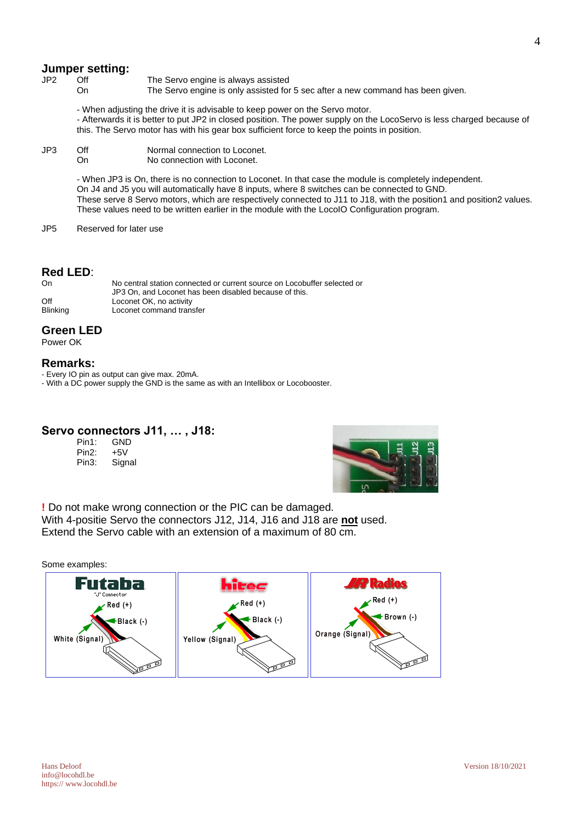### **Jumper setting:**<br>JP2 Off

- 
- Off The Servo engine is always assisted<br>On The Servo engine is only assisted for
	- The Servo engine is only assisted for 5 sec after a new command has been given.

- When adjusting the drive it is advisable to keep power on the Servo motor.

- Afterwards it is better to put JP2 in closed position. The power supply on the LocoServo is less charged because of this. The Servo motor has with his gear box sufficient force to keep the points in position.

JP3 Off Normal connection to Loconet.<br>
On No connection with Loconet. No connection with Loconet.

> - When JP3 is On, there is no connection to Loconet. In that case the module is completely independent. On J4 and J5 you will automatically have 8 inputs, where 8 switches can be connected to GND. These serve 8 Servo motors, which are respectively connected to J11 to J18, with the position1 and position2 values. These values need to be written earlier in the module with the LocoIO Configuration program.

JP5 Reserved for later use

### **Red LED**:

| On       | No central station connected or current source on Locobuffer selected or |
|----------|--------------------------------------------------------------------------|
|          | JP3 On, and Loconet has been disabled because of this.                   |
| Off      | Loconet OK, no activity                                                  |
| Blinking | Loconet command transfer                                                 |

#### **Green LED**

Power OK

#### **Remarks:**

- Every IO pin as output can give max. 20mA.

- With a DC power supply the GND is the same as with an Intellibox or Locobooster.

### **Servo connectors J11, … , J18:**

| Pin1: | GND    |
|-------|--------|
| Pin2: | +5V    |
| Pin3: | Signal |



**!** Do not make wrong connection or the PIC can be damaged. With 4-positie Servo the connectors J12, J14, J16 and J18 are **not** used. Extend the Servo cable with an extension of a maximum of 80 cm.

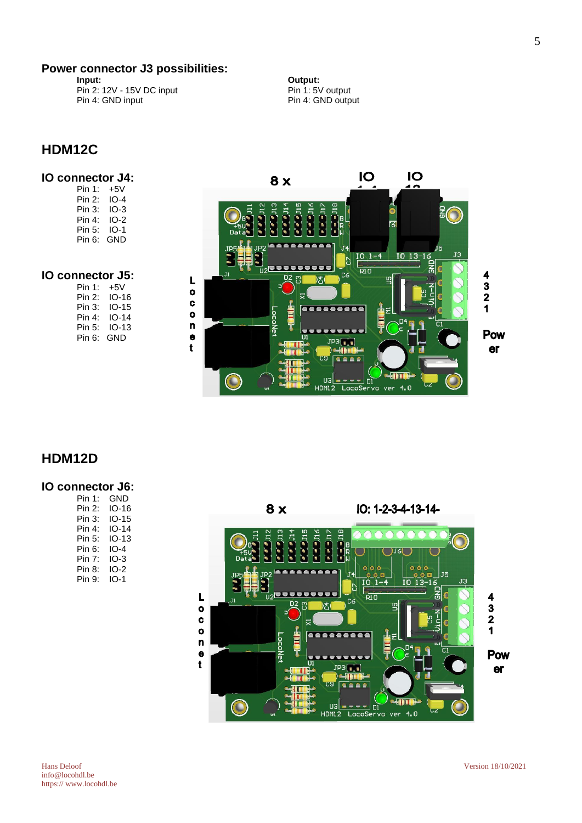## **Power connector J3 possibilities:**

Pin 2: 12V - 15V DC input Pin 1: 5V output Pin 4: GND input Pin 4: GND output

**Dutput: Pin 1: 5V output** 

### **HDM12C**

### **IO connector J4:**

Pin 1: +5V Pin 2: IO-4 Pin 3: IO-3<br>Pin 4: IO-2 Pin  $4:$ Pin 5: IO-1 Pin 6: GND

### **IO connector J5:**

| +5V   |
|-------|
| IO-16 |
| IO-15 |
| IO-14 |
| IO-13 |
| GND   |
|       |



### **HDM12D**

### **IO connector J6:**

| Pin 1: | GND   |
|--------|-------|
| Pin 2: | IO-16 |
| Pin 3: | IO-15 |
| Pin 4: | IO-14 |
| Pin 5: | IO-13 |
| Pin 6: | IO-4  |
| Pin 7: | IO-3  |
| Pin 8: | IO-2  |
| Pin 9: | IO-1  |
|        |       |

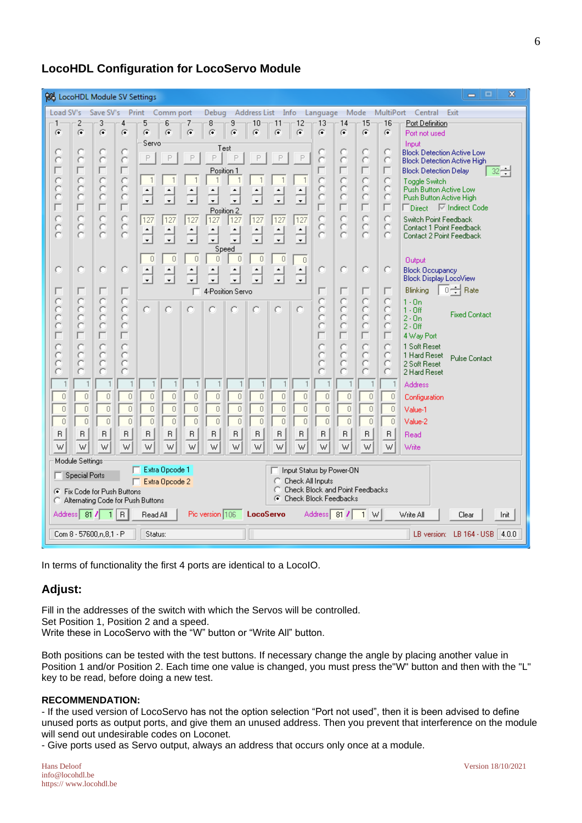### **LocoHDL Configuration for LocoServo Module**

| x<br>▣<br><b>ROL</b> LocoHDL Module SV Settings<br>$\equiv$                                                              |                                                                                                                                                                                                                                                                                                                                                                                                                         |                                                                                                        |                                                                                            |                                                                                                                                       |                                                                                              |                                                            |                                                                                                  |                                                             |                                                                                |                                                         |                                                                                  |                                                                                                                                       |                                                           |                                                                                                       |                                                                                                               |                                                                                                                                                                                                                                                                                                                                                                                                                                                                       |                      |        |
|--------------------------------------------------------------------------------------------------------------------------|-------------------------------------------------------------------------------------------------------------------------------------------------------------------------------------------------------------------------------------------------------------------------------------------------------------------------------------------------------------------------------------------------------------------------|--------------------------------------------------------------------------------------------------------|--------------------------------------------------------------------------------------------|---------------------------------------------------------------------------------------------------------------------------------------|----------------------------------------------------------------------------------------------|------------------------------------------------------------|--------------------------------------------------------------------------------------------------|-------------------------------------------------------------|--------------------------------------------------------------------------------|---------------------------------------------------------|----------------------------------------------------------------------------------|---------------------------------------------------------------------------------------------------------------------------------------|-----------------------------------------------------------|-------------------------------------------------------------------------------------------------------|---------------------------------------------------------------------------------------------------------------|-----------------------------------------------------------------------------------------------------------------------------------------------------------------------------------------------------------------------------------------------------------------------------------------------------------------------------------------------------------------------------------------------------------------------------------------------------------------------|----------------------|--------|
| Load SV's<br>Save SV's Print Comm port<br>Debug Address List Info Language Mode MultiPort Central Exit                   |                                                                                                                                                                                                                                                                                                                                                                                                                         |                                                                                                        |                                                                                            |                                                                                                                                       |                                                                                              |                                                            |                                                                                                  |                                                             |                                                                                |                                                         |                                                                                  |                                                                                                                                       |                                                           |                                                                                                       |                                                                                                               |                                                                                                                                                                                                                                                                                                                                                                                                                                                                       |                      |        |
| G                                                                                                                        | $\left( \widehat{\bullet }\right)$                                                                                                                                                                                                                                                                                                                                                                                      | 3<br>$\left( \widehat{\bullet}\right)$                                                                 | 4<br>G.                                                                                    | 5<br>G                                                                                                                                | 6<br>Œ                                                                                       | $\sqrt{2}$                                                 | 8<br>G.                                                                                          | 9<br>G                                                      | 10<br>Œ                                                                        | 11<br>Œ                                                 | $-12$<br>G                                                                       | $-13$<br>G.                                                                                                                           | $-14$<br>Œ                                                | 15<br>G.                                                                                              | 16<br>G.                                                                                                      | Port Definition<br>Port not used                                                                                                                                                                                                                                                                                                                                                                                                                                      |                      |        |
| C<br>Č<br>Ē<br>Topp<br>coo<br>O<br>Г                                                                                     | с<br>C<br>Ċ<br>ö<br>Č<br>Ċ<br>O<br>$\overline{C}$<br>O<br>г<br>g                                                                                                                                                                                                                                                                                                                                                        | с<br>Č<br>г<br>$\mathcal{O}$<br>ö<br>ö<br>П<br>$\mathbf C$<br>ö<br>$\bar{c}$<br>о<br>г<br>$\circ$<br>Č | с<br>ö<br>г<br>$\circ$<br>ö<br>č<br>$\frac{1}{2}$<br>õ<br>о<br>г<br>cooo                   | Servo<br>P<br>$\overline{1}$<br>$\frac{1}{\sqrt{2}}$<br>$\sqrt{127}$<br>$\frac{1}{\sqrt{2}}$<br>$\theta$<br>$\frac{1}{\sqrt{2}}$<br>O | P<br>$\overline{1}$<br>127<br>$\theta$<br>$\blacktriangle$<br>с                              | P<br>$\mathbf{1}$<br>127<br>$\theta$<br>г<br>Ю             | Test<br>P<br>Position 1<br>$\mathbf{1}$<br>Position 2<br>$\overline{127}$<br>$\overline{0}$<br>Ó | P<br>٠<br>127<br>Speed<br>$\theta$<br>4-Position Servo<br>о | 1<br>127<br>0<br>٠<br>C                                                        | P<br>$\mathbf{1}$<br>127<br>$\theta$<br>÷<br>O          | P<br>127<br>$\overline{0}$<br>$\frac{1}{x}$<br>$\circ$                           | Ċ<br>Ö<br>č<br>о<br>г<br>O<br>ö                                                                                                       | с<br>ö<br>g<br>Č<br>$\subset$<br>ö<br>ö<br>O<br>г<br>popp | с<br>Č<br>г<br>ă<br>ö<br>П<br>C<br>O<br>O<br>о<br>г<br>g                                              | с<br>O<br>г<br>O<br>O<br>о<br>г<br>O<br>O<br>O<br>o<br>C                                                      | Input<br><b>Block Detection Active Low</b><br><b>Block Detection Active High</b><br><b>Block Detection Delay</b><br>Toggle Switch<br>Push Button Active Low<br>Push Button Active High<br>Direct I <sup>⊽</sup> Indirect Code<br>Switch Point Feedback<br>Contact 1 Point Feedback<br>Contact 2 Point Feedback<br><b>Output</b><br><b>Block Occupancy</b><br>Block Display LocoView<br>$\overline{0}$ $\rightleftharpoons$ Rate<br>Blinking<br>$1 - 0n$<br>$1 - 0$ ff | <b>Fixed Contact</b> | $32 -$ |
| Coooo<br>$\frac{0}{0}$<br>$\mathbf{1}$<br>$\begin{array}{c} 0 \end{array}$<br>$\overline{0}$<br>$\overline{0}$<br>R<br>W | č<br>č<br>Ċ<br>O<br>č<br>$\theta$<br>$\overline{0}$<br>$\Box$<br>R<br>W                                                                                                                                                                                                                                                                                                                                                 | ö<br>č<br>г<br>$\mathbf C$<br>O<br>ö<br>1<br>$\overline{0}$<br>$\,0$<br>$\overline{0}$<br>$\sf B$<br>W | Ē<br>$\mathbf C$<br>$\subset$<br>C<br>$\overline{0}$<br>$\overline{0}$<br>$\Box$<br>R<br>W | $\overline{0}$<br>$\overline{0}$<br>$\begin{array}{c} 0 \\ 0 \end{array}$<br>R<br>W                                                   | 1<br>$\mathbf 0$<br>$\overline{0}$<br>$\begin{array}{c} \square \end{array}$<br>$\sf B$<br>W | 0<br>Ō<br>$\begin{array}{c} \square \end{array}$<br>R<br>W | $\overline{1}$<br>0<br>0<br>0<br>$\sf B$<br>W                                                    | 1<br>0<br>$\overline{0}$<br>$\Box$<br>R<br>W                | $\mathbf{1}$<br>$\overline{0}$<br>$\overline{0}$<br>$\Box$<br>$\mathsf B$<br>W | $\overline{1}$<br>0<br>0<br>$\Box$<br>$\mathsf{R}$<br>W | $\overline{\phantom{a}}$<br>$\overline{0}$<br>$\overline{0}$<br>$\Box$<br>R<br>W | ö<br>ö<br>Ö<br>ö<br>Č<br>$\overline{1}$<br>$\overline{0}$<br>$\overline{0}$<br>$\begin{array}{c} \square \end{array}$<br>$\sf B$<br>W | Ē<br>$\circ$<br>Č<br>ö<br>ö<br>0<br>0<br>$\Box$<br>R<br>W | č<br>ë<br>г<br>C<br>О<br>с<br>$\overline{1}$<br>$\overline{0}$<br>$\overline{0}$<br>$\Box$<br>B.<br>W | о<br>O<br>O<br>O<br>O<br>-1<br>$\theta$<br>$\overline{0}$<br>$\begin{array}{c} \n\end{array}$<br>$\sf R$<br>W | $2 - 0n$<br>$2 - 0$ ff<br>4 Way Port<br>1 Soft Reset<br>1 Hard Reset<br>2 Soft Reset<br>2 Hard Reset<br><b>Address</b><br>Configuration<br>Value-1<br>Value-2<br>Read<br>Write                                                                                                                                                                                                                                                                                        | <b>Pulse Contact</b> |        |
|                                                                                                                          | Module Settings<br>Extra Opcode 1<br>Input Status by Power-ON<br><b>Special Ports</b><br>Check All Inputs<br>Extra Opcode 2<br>С<br>Check Block and Point Feedbacks<br>C<br><b>E</b> Fix Code for Push Buttons<br>G.<br><b>Check Block Feedbacks</b><br>C Alternating Code for Push Buttons<br><b>LocoServo</b><br>Address 81 7<br>Pic version 106<br>Address 81 / 1 W<br>1 R<br>Read All<br>Write All<br>Init<br>Clear |                                                                                                        |                                                                                            |                                                                                                                                       |                                                                                              |                                                            |                                                                                                  |                                                             |                                                                                |                                                         |                                                                                  |                                                                                                                                       |                                                           |                                                                                                       |                                                                                                               |                                                                                                                                                                                                                                                                                                                                                                                                                                                                       |                      |        |
|                                                                                                                          |                                                                                                                                                                                                                                                                                                                                                                                                                         | Com 8 - 57600,n,8,1 - P                                                                                |                                                                                            | Status:                                                                                                                               |                                                                                              |                                                            |                                                                                                  |                                                             |                                                                                |                                                         |                                                                                  |                                                                                                                                       |                                                           |                                                                                                       |                                                                                                               | LB version: LB 164 - USB                                                                                                                                                                                                                                                                                                                                                                                                                                              |                      | 4.0.0  |

In terms of functionality the first 4 ports are identical to a LocoIO.

### **Adjust:**

Fill in the addresses of the switch with which the Servos will be controlled. Set Position 1, Position 2 and a speed. Write these in LocoServo with the "W" button or "Write All" button.

Both positions can be tested with the test buttons. If necessary change the angle by placing another value in Position 1 and/or Position 2. Each time one value is changed, you must press the"W" button and then with the "L" key to be read, before doing a new test.

#### **RECOMMENDATION:**

- If the used version of LocoServo has not the option selection "Port not used", then it is been advised to define unused ports as output ports, and give them an unused address. Then you prevent that interference on the module will send out undesirable codes on Loconet.

- Give ports used as Servo output, always an address that occurs only once at a module.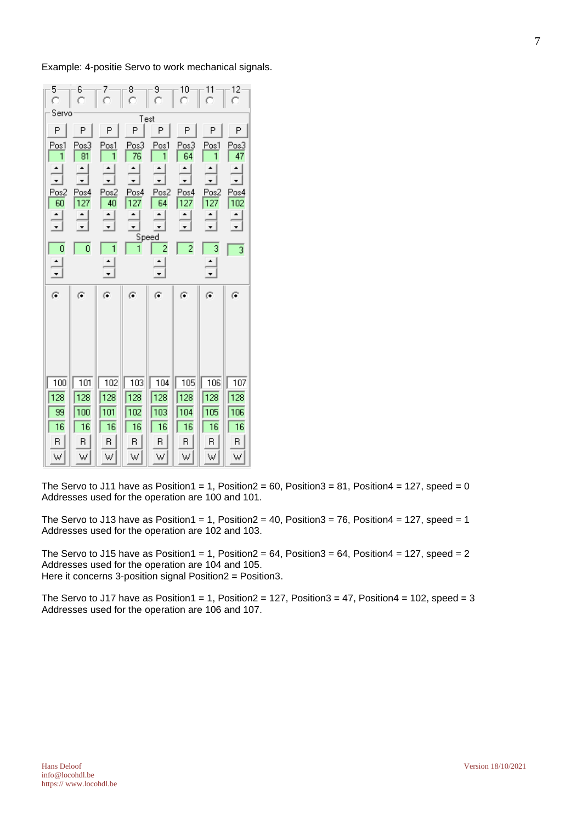Example: 4-positie Servo to work mechanical signals.

| 5<br>Ō | 6           | 7          | ۰8           | $\theta$   | 10             | 11          | 12               |  |  |  |  |  |  |  |
|--------|-------------|------------|--------------|------------|----------------|-------------|------------------|--|--|--|--|--|--|--|
| Servo  | Test        |            |              |            |                |             |                  |  |  |  |  |  |  |  |
| P      | P           | P          | P            | P          | P              | P           | P                |  |  |  |  |  |  |  |
| Pos1   | Pos3        | Pos1       | Pos3         | Pos1       | Pos3           | Pos1        | Pos3             |  |  |  |  |  |  |  |
| 1      | 81          | 1          | 76           | 1          | 64             |             | 47               |  |  |  |  |  |  |  |
|        |             |            |              |            |                |             |                  |  |  |  |  |  |  |  |
| Pos2   | Pos4<br>127 | Pos2<br>40 | Pos4<br>127  | Pos2<br>64 | Pos4<br>127    | Pos2<br>127 | Pos4<br>102      |  |  |  |  |  |  |  |
| 60     |             |            | ۰            |            |                |             |                  |  |  |  |  |  |  |  |
|        |             |            | ۰            |            |                |             |                  |  |  |  |  |  |  |  |
| 0      | 0           | 1          | 1            | Speed<br>2 | $\overline{c}$ | 3           | 3                |  |  |  |  |  |  |  |
|        |             |            |              | ۰          |                |             |                  |  |  |  |  |  |  |  |
|        |             |            |              |            |                |             |                  |  |  |  |  |  |  |  |
|        |             |            |              |            |                |             |                  |  |  |  |  |  |  |  |
| G      | G           | G          | G            | G          | G              | G           | G                |  |  |  |  |  |  |  |
|        |             |            |              |            |                |             |                  |  |  |  |  |  |  |  |
|        |             |            |              |            |                |             |                  |  |  |  |  |  |  |  |
|        |             |            |              |            |                |             |                  |  |  |  |  |  |  |  |
|        |             |            |              |            |                |             |                  |  |  |  |  |  |  |  |
| 100    | 101         | 102        | $\sqrt{103}$ | 104        | 105            | 106         | 107              |  |  |  |  |  |  |  |
| 128    | 128         | 128        | 128          | 128        | 128            | 128         | $\overline{128}$ |  |  |  |  |  |  |  |
| 99     | 100         | 101        | 102          | 103        | 104            | 105         | 106              |  |  |  |  |  |  |  |
| 16     | 16          | 16         | 16           | 16         | 16             | 16          | 16               |  |  |  |  |  |  |  |
| R      | R           | R          | B.           | B.         | R.             | R.          | R.               |  |  |  |  |  |  |  |

The Servo to J11 have as Position1 = 1, Position2 = 60, Position3 = 81, Position4 = 127, speed = 0 Addresses used for the operation are 100 and 101.

The Servo to J13 have as Position1 = 1, Position2 = 40, Position3 = 76, Position4 = 127, speed = 1 Addresses used for the operation are 102 and 103.

The Servo to J15 have as Position1 = 1, Position2 = 64, Position3 = 64, Position4 = 127, speed = 2 Addresses used for the operation are 104 and 105. Here it concerns 3-position signal Position2 = Position3.

The Servo to J17 have as Position1 = 1, Position2 = 127, Position3 = 47, Position4 = 102, speed = 3 Addresses used for the operation are 106 and 107.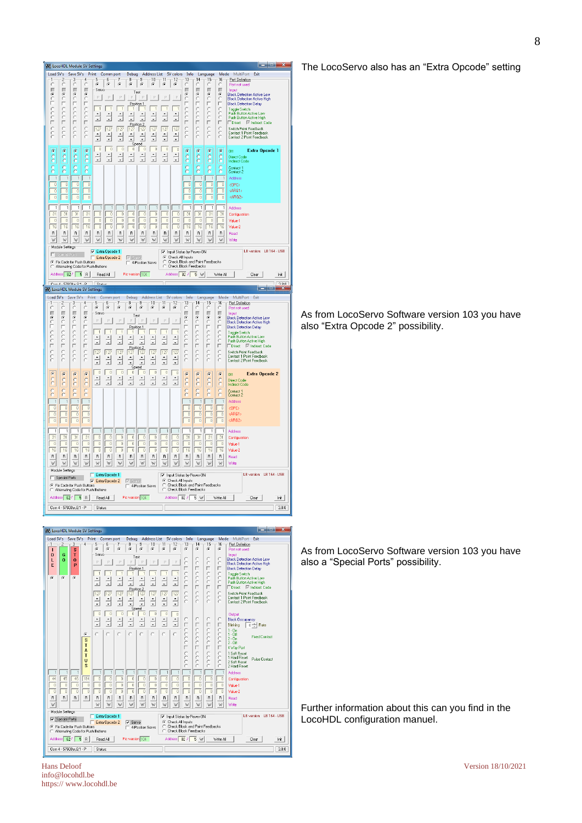

| Load SV's |                         | Save SV's                           | Print                   |                      | Comm port      |          | Debug                         |                          |                |               |                      | Address List SV colors Info                              |                                 | Language         | Mode               | MultiPort<br>Exit                                    |
|-----------|-------------------------|-------------------------------------|-------------------------|----------------------|----------------|----------|-------------------------------|--------------------------|----------------|---------------|----------------------|----------------------------------------------------------|---------------------------------|------------------|--------------------|------------------------------------------------------|
|           | $\overline{\mathbf{c}}$ | 3                                   |                         | 5                    | я              |          | 8                             |                          | 10             | 11            | 12                   | 13                                                       | $-14$                           | 15               | 16                 | Port Definition                                      |
| r         |                         | s                                   |                         | G.                   | G              | G        | G.                            | G                        | G              | G             | G                    | G.                                                       | G                               | G.               | $\mathcal{C}$      | Port not used                                        |
| D<br>L    | G<br>$\Omega$           | т<br>$\Omega$                       |                         | Servo                |                |          |                               | Test                     |                |               |                      |                                                          |                                 | C                | C                  | Input<br><b>Block Detection Active Low</b>           |
| E         |                         | p                                   |                         | P                    | p              | P        | P                             | P                        |                | D             | P                    | r                                                        | ă                               | $\subset$        | $\subset$          | <b>Block Detection Active High</b>                   |
|           |                         |                                     |                         |                      |                |          | Position 1                    |                          |                |               |                      |                                                          | П                               | г                | г                  | <b>Block Detection Delay</b>                         |
| $\sigma$  | G.                      | G.                                  |                         |                      | $\overline{1}$ |          |                               | 1<br>٠                   |                |               | 1                    |                                                          | $\circ$<br>$\mathcal{C}$        | Ċ<br>$\subset$   | C<br>$\subset$     | <b>Toggle Switch</b><br>Push Button Active Low       |
|           |                         |                                     |                         | ÷                    |                |          |                               | Ų                        |                |               | $\frac{1}{\sqrt{2}}$ | Ċ                                                        | $\tilde{c}$                     | C                | C                  | Push Button Active High                              |
|           |                         |                                     |                         |                      |                |          |                               | Position 2               |                |               |                      |                                                          | П                               |                  | г                  | □Direct IV Indirect Code                             |
|           |                         |                                     |                         | 127                  | 127            | 127      | 127                           | 127                      | 127            | 127           | 127                  | $\sqrt{2}$                                               | $\mathcal{O}$<br>$\circ$        | C<br>$\tilde{C}$ | $\subset$          | Switch Point Feedback                                |
|           |                         |                                     |                         | $\frac{1}{\sqrt{2}}$ |                |          | ٠                             | ٠                        |                |               | $\frac{1}{\sqrt{2}}$ |                                                          | $\overline{C}$                  | r                | C<br>C             | Contact 1 Point Feedback<br>Contact 2 Point Feedback |
|           |                         |                                     |                         |                      |                |          |                               | $\ddot{}$<br>Speed       |                |               |                      |                                                          |                                 |                  |                    |                                                      |
|           |                         |                                     |                         | $\overline{0}$       | $\overline{0}$ | $\Omega$ | $\Omega$                      | $\Omega$                 | $\overline{0}$ | $\Omega$      | $\theta$             |                                                          |                                 |                  |                    | Output                                               |
|           |                         |                                     |                         | $\frac{1}{\tau}$     |                |          |                               |                          |                | $\frac{1}{x}$ | $\frac{1}{x}$        | с                                                        | $\circ$                         | C                | C                  | <b>Block Occupancy</b>                               |
|           |                         |                                     |                         |                      | ÷              |          | ÷                             | $\overline{\phantom{a}}$ | Ų              |               |                      | г                                                        | П                               | г                | г                  | Blinking<br>$\overline{0}$ $\rightarrow$ Rate        |
|           |                         |                                     | G.                      | $\mathcal{O}$        | $\circ$        |          | $\circ$                       |                          | $\mathcal{C}$  | ċ             | $\sim$               | Ċ                                                        | $\mathcal{C}$<br>$\overline{C}$ | C<br>Ċ           | $\mathcal{C}$<br>Ċ | $1 - \Omega n$<br>$1 - 0$ ff                         |
|           |                         |                                     | $\overline{\mathbf{s}}$ |                      |                |          |                               |                          |                |               |                      |                                                          | $\overline{C}$                  | $\overline{C}$   | C                  | <b>Fixed Contact</b><br>$2 - \Pi n$                  |
|           |                         |                                     | T                       |                      |                |          |                               |                          |                |               |                      |                                                          | $\epsilon$<br>П                 | C<br>F           | C<br>П             | $2 - 0$ ff                                           |
|           |                         |                                     | A                       |                      |                |          |                               |                          |                |               |                      | Ċ                                                        | $\circ$                         | C                | $\subset$          | 4 Way Port<br>1 Soft Reset                           |
|           |                         |                                     | T                       |                      |                |          |                               |                          |                |               |                      | Ċ                                                        | $\circ$                         | C                | C                  | 1 Hard Reset<br><b>Pulse Contact</b>                 |
|           |                         |                                     | Ü<br>s                  |                      |                |          |                               |                          |                |               |                      |                                                          | C<br>$\epsilon$                 | C<br>C           | C<br>C             | 2 Soft Reset                                         |
|           |                         |                                     |                         |                      |                |          |                               |                          |                |               |                      |                                                          |                                 |                  | $\overline{1}$     | 2 Hard Reset<br>Address                              |
| 44        | 45                      | 46                                  | 194                     | ō                    | $\theta$       | n        | $\theta$                      | $\overline{0}$           | $\theta$       | 0             | $\theta$             | 0                                                        | $\theta$                        | 0                | $\theta$           | Configuration                                        |
| n         | $\theta$                | $\theta$                            | $\bf{0}$                | $\theta$             | $\overline{0}$ | o        | $\theta$                      | $\theta$                 | $\theta$       | $\theta$      | $\theta$             | $\overline{0}$                                           | $\theta$                        | $\overline{0}$   | $\theta$           | Value-1                                              |
| $\Omega$  | $\theta$                | $\Omega$                            | $\mathbf{0}$            | o                    | $\overline{0}$ | n        | $\theta$                      | $\overline{0}$           | ī              | ō             | $\theta$             | ō                                                        | $\theta$                        | n                | $\sqrt{ }$         | Value-2                                              |
| R         | R                       | R                                   | R                       | R                    | R              | R        | R                             | R                        | R              | R             | R                    | R                                                        | R                               | R                | R                  | Read                                                 |
| W         |                         |                                     |                         | W                    | w              | w        | W                             | w                        | W              | W             | W                    | w                                                        | W                               | W                | W                  | Write                                                |
|           | Module Settings         |                                     |                         |                      |                |          |                               |                          |                |               |                      |                                                          |                                 |                  |                    |                                                      |
|           |                         |                                     |                         |                      | Extra Opcode 1 |          |                               |                          |                |               |                      | V Input Status by Power-ON                               |                                 |                  |                    | LB version: LB 164 - USB                             |
|           | Special Ports           |                                     |                         |                      | Extra Opcode 2 |          | $\overline{\mathbf{v}}$ Servo |                          |                |               | C Check All Inputs   |                                                          |                                 |                  |                    |                                                      |
|           |                         | Fix Code for Push Buttons           |                         |                      |                |          |                               | 4-Position Servo         |                | C<br>c        |                      | Check Block and Point Feedbacks<br>Check Block Feedbacks |                                 |                  |                    |                                                      |
|           |                         | C Alternating Code for Push Buttons |                         |                      |                |          |                               |                          |                |               |                      |                                                          |                                 |                  |                    |                                                      |
|           | Address 82/             | 5                                   | <b>B</b>                | Read All             |                |          | Pic version 104               |                          |                |               | Address 82 /         |                                                          | 5 W                             |                  | Write All          | Init<br>Clear                                        |
|           |                         | Com 4 - 57600 n.8.1 - P             |                         | Status:              |                |          |                               |                          |                |               |                      |                                                          |                                 |                  |                    | 3.8.0                                                |
|           |                         |                                     |                         |                      |                |          |                               |                          |                |               |                      |                                                          |                                 |                  |                    |                                                      |

The LocoServo also has an "Extra Opcode" setting

As from LocoServo Software version 103 you have also "Extra Opcode 2" possibility.

As from LocoServo Software version 103 you have also a "Special Ports" possibility.

Further information about this can you find in the LocoHDL configuration manuel.

Hans Deloof Version 18/10/2021 info@locohdl.be https:// www.locohdl.be